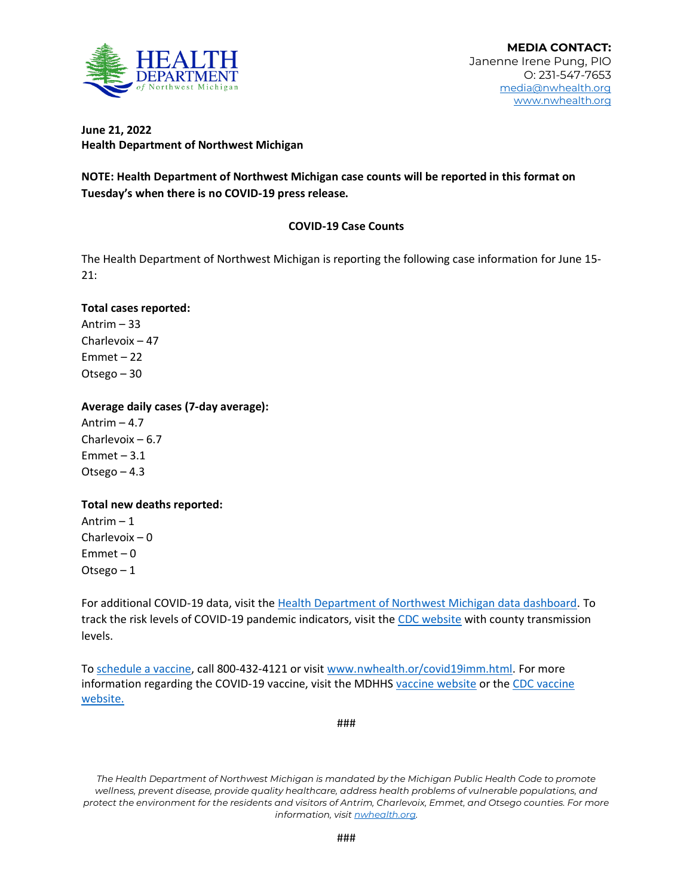

## **June 21, 2022 Health Department of Northwest Michigan**

**NOTE: Health Department of Northwest Michigan case counts will be reported in this format on Tuesday's when there is no COVID-19 press release.** 

# **COVID-19 Case Counts**

The Health Department of Northwest Michigan is reporting the following case information for June 15- 21:

#### **Total cases reported:**

Antrim – 33 Charlevoix – 47 Emmet – 22 Otsego – 30

## **Average daily cases (7-day average):**

Antrim  $-4.7$ Charlevoix – 6.7  $Emmet - 3.1$ Otsego – 4.3

#### **Total new deaths reported:**

Antrim – 1 Charlevoix – 0 Emmet – 0 Otsego – 1

For additional COVID-19 data, visit th[e Health Department of Northwest Michigan data dashboard.](http://nwhealth.org/covid19dash2.html) To track the risk levels of COVID-19 pandemic indicators, visit th[e CDC website](https://covid.cdc.gov/COVID-data-tracker/#datatracker-home) with county transmission levels.

T[o schedule a vaccine,](https://www.nwhealth.org/covid19imm.html) call 800-432-4121 or visit [www.nwhealth.or/covid19imm.html.](http://www.nwhealth.or/covid19imm.html) For more information regarding the COVID-19 vaccine, visit the MDHHS [vaccine website](https://www.michigan.gov/coronavirus/0,9753,7-406-98178_103214---,00.html) or the CDC vaccine [website.](https://www.cdc.gov/vaccines/covid-19/index.html)

###

*The Health Department of Northwest Michigan is mandated by the Michigan Public Health Code to promote wellness, prevent disease, provide quality healthcare, address health problems of vulnerable populations, and protect the environment for the residents and visitors of Antrim, Charlevoix, Emmet, and Otsego counties. For more information, visi[t nwhealth.org.](http://nwhealth.org/)*